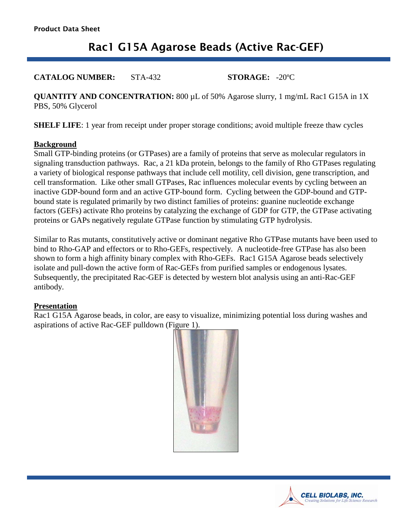# Rac1 G15A Agarose Beads (Active Rac-GEF)

**CATALOG NUMBER:** STA-432 **STORAGE:** -20ºC

**QUANTITY AND CONCENTRATION:** 800 µL of 50% Agarose slurry, 1 mg/mL Rac1 G15A in 1X PBS, 50% Glycerol

**SHELF LIFE:** 1 year from receipt under proper storage conditions; avoid multiple freeze thaw cycles

## **Background**

Small GTP-binding proteins (or GTPases) are a family of proteins that serve as molecular regulators in signaling transduction pathways. Rac, a 21 kDa protein, belongs to the family of Rho GTPases regulating a variety of biological response pathways that include cell motility, cell division, gene transcription, and cell transformation. Like other small GTPases, Rac influences molecular events by cycling between an inactive GDP-bound form and an active GTP-bound form. Cycling between the GDP-bound and GTPbound state is regulated primarily by two distinct families of proteins: guanine nucleotide exchange factors (GEFs) activate Rho proteins by catalyzing the exchange of GDP for GTP, the GTPase activating proteins or GAPs negatively regulate GTPase function by stimulating GTP hydrolysis.

Similar to Ras mutants, constitutively active or dominant negative Rho GTPase mutants have been used to bind to Rho-GAP and effectors or to Rho-GEFs, respectively. A nucleotide-free GTPase has also been shown to form a high affinity binary complex with Rho-GEFs. Rac1 G15A Agarose beads selectively isolate and pull-down the active form of Rac-GEFs from purified samples or endogenous lysates. Subsequently, the precipitated Rac-GEF is detected by western blot analysis using an anti-Rac-GEF antibody.

# **Presentation**

Rac1 G15A Agarose beads, in color, are easy to visualize, minimizing potential loss during washes and aspirations of active Rac-GEF pulldown (Figure 1).



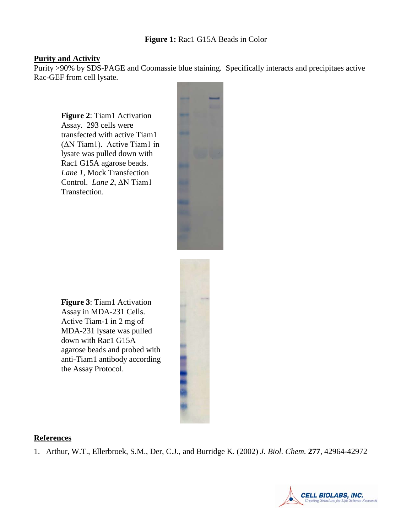# **Purity and Activity**

Purity >90% by SDS-PAGE and Coomassie blue staining. Specifically interacts and precipitaes active Rac-GEF from cell lysate.

**Figure 2**: Tiam1 Activation Assay. 293 cells were transfected with active Tiam1 (ΔN Tiam1). Active Tiam1 in lysate was pulled down with Rac1 G15A agarose beads. *Lane 1*, Mock Transfection Control. *Lane 2*, ΔN Tiam1 Transfection.



**Figure 3**: Tiam1 Activation Assay in MDA-231 Cells. Active Tiam-1 in 2 mg of MDA-231 lysate was pulled down with Rac1 G15A agarose beads and probed with anti-Tiam1 antibody according the Assay Protocol.

#### **References**

1. Arthur, W.T., Ellerbroek, S.M., Der, C.J., and Burridge K. (2002) *J. Biol. Chem.* **277**, 42964-42972